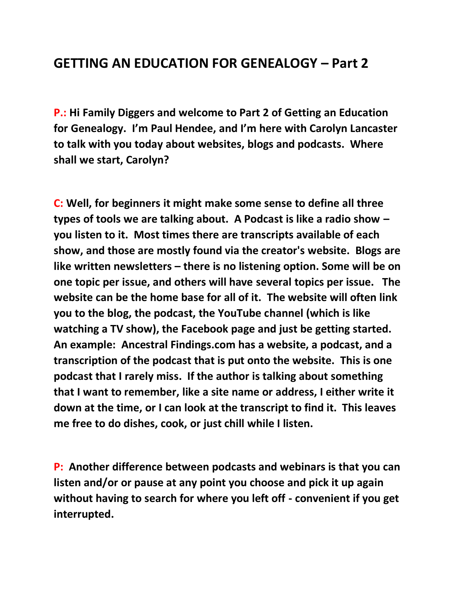## **GETTING AN EDUCATION FOR GENEALOGY – Part 2**

**P.: Hi Family Diggers and welcome to Part 2 of Getting an Education for Genealogy. I'm Paul Hendee, and I'm here with Carolyn Lancaster to talk with you today about websites, blogs and podcasts. Where shall we start, Carolyn?**

**C: Well, for beginners it might make some sense to define all three types of tools we are talking about. A Podcast is like a radio show – you listen to it. Most times there are transcripts available of each show, and those are mostly found via the creator's website. Blogs are like written newsletters – there is no listening option. Some will be on one topic per issue, and others will have several topics per issue. The website can be the home base for all of it. The website will often link you to the blog, the podcast, the YouTube channel (which is like watching a TV show), the Facebook page and just be getting started. An example: Ancestral Findings.com has a website, a podcast, and a transcription of the podcast that is put onto the website. This is one podcast that I rarely miss. If the author is talking about something that I want to remember, like a site name or address, I either write it down at the time, or I can look at the transcript to find it. This leaves me free to do dishes, cook, or just chill while I listen.** 

**P: Another difference between podcasts and webinars is that you can listen and/or or pause at any point you choose and pick it up again without having to search for where you left off - convenient if you get interrupted.**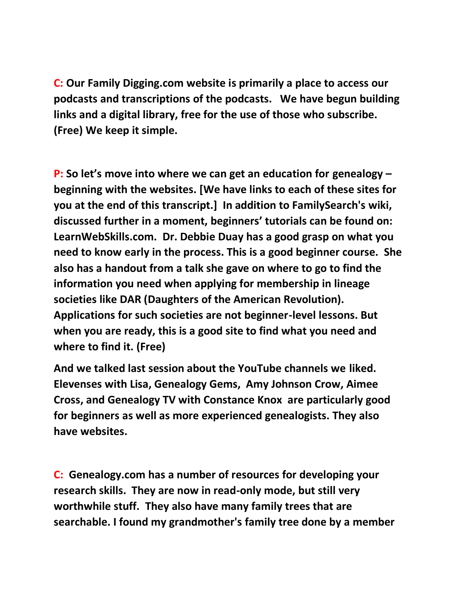**C: Our Family Digging.com website is primarily a place to access our podcasts and transcriptions of the podcasts. We have begun building links and a digital library, free for the use of those who subscribe. (Free) We keep it simple.**

**P: So let's move into where we can get an education for genealogy – beginning with the websites. [We have links to each of these sites for you at the end of this transcript.] In addition to FamilySearch's wiki, discussed further in a moment, beginners' tutorials can be found on: LearnWebSkills.com. Dr. Debbie Duay has a good grasp on what you need to know early in the process. This is a good beginner course. She also has a handout from a talk she gave on where to go to find the information you need when applying for membership in lineage societies like DAR (Daughters of the American Revolution). Applications for such societies are not beginner-level lessons. But when you are ready, this is a good site to find what you need and where to find it. (Free)** 

**And we talked last session about the YouTube channels we liked. Elevenses with Lisa, Genealogy Gems, Amy Johnson Crow, Aimee Cross, and Genealogy TV with Constance Knox are particularly good for beginners as well as more experienced genealogists. They also have websites.** 

**C: Genealogy.com has a number of resources for developing your research skills. They are now in read-only mode, but still very worthwhile stuff. They also have many family trees that are searchable. I found my grandmother's family tree done by a member**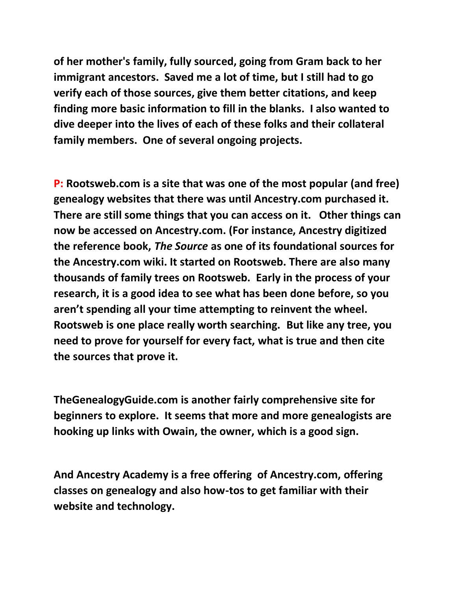**of her mother's family, fully sourced, going from Gram back to her immigrant ancestors. Saved me a lot of time, but I still had to go verify each of those sources, give them better citations, and keep finding more basic information to fill in the blanks. I also wanted to dive deeper into the lives of each of these folks and their collateral family members. One of several ongoing projects.**

**P: Rootsweb.com is a site that was one of the most popular (and free) genealogy websites that there was until Ancestry.com purchased it. There are still some things that you can access on it. Other things can now be accessed on Ancestry.com. (For instance, Ancestry digitized the reference book,** *The Source* **as one of its foundational sources for the Ancestry.com wiki. It started on Rootsweb. There are also many thousands of family trees on Rootsweb. Early in the process of your research, it is a good idea to see what has been done before, so you aren't spending all your time attempting to reinvent the wheel. Rootsweb is one place really worth searching. But like any tree, you need to prove for yourself for every fact, what is true and then cite the sources that prove it.**

**TheGenealogyGuide.com is another fairly comprehensive site for beginners to explore. It seems that more and more genealogists are hooking up links with Owain, the owner, which is a good sign.** 

**And Ancestry Academy is a free offering of Ancestry.com, offering classes on genealogy and also how-tos to get familiar with their website and technology.**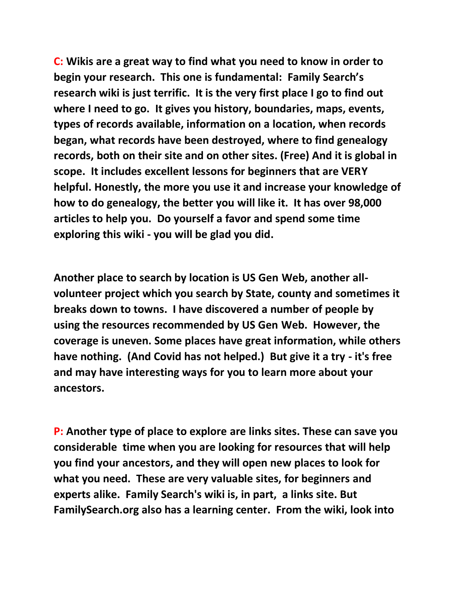**C: Wikis are a great way to find what you need to know in order to begin your research. This one is fundamental: Family Search's research wiki is just terrific. It is the very first place I go to find out where I need to go. It gives you history, boundaries, maps, events, types of records available, information on a location, when records began, what records have been destroyed, where to find genealogy records, both on their site and on other sites. (Free) And it is global in scope. It includes excellent lessons for beginners that are VERY helpful. Honestly, the more you use it and increase your knowledge of how to do genealogy, the better you will like it. It has over 98,000 articles to help you. Do yourself a favor and spend some time exploring this wiki - you will be glad you did.** 

**Another place to search by location is US Gen Web, another allvolunteer project which you search by State, county and sometimes it breaks down to towns. I have discovered a number of people by using the resources recommended by US Gen Web. However, the coverage is uneven. Some places have great information, while others have nothing. (And Covid has not helped.) But give it a try - it's free and may have interesting ways for you to learn more about your ancestors.** 

**P: Another type of place to explore are links sites. These can save you considerable time when you are looking for resources that will help you find your ancestors, and they will open new places to look for what you need. These are very valuable sites, for beginners and experts alike. Family Search's wiki is, in part, a links site. But FamilySearch.org also has a learning center. From the wiki, look into**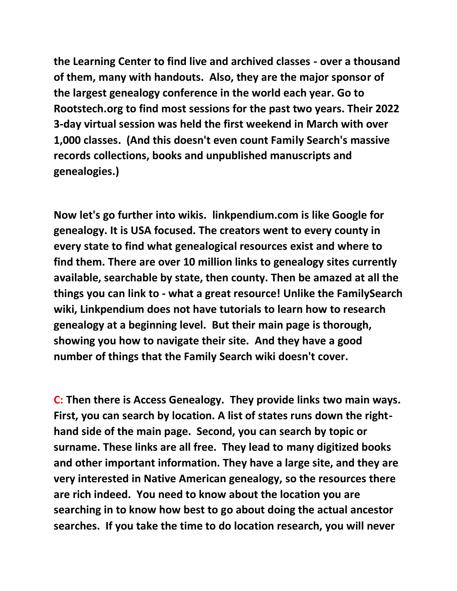**the Learning Center to find live and archived classes - over a thousand of them, many with handouts. Also, they are the major sponsor of the largest genealogy conference in the world each year. Go to Rootstech.org to find most sessions for the past two years. Their 2022 3-day virtual session was held the first weekend in March with over 1,000 classes. (And this doesn't even count Family Search's massive records collections, books and unpublished manuscripts and genealogies.)**

**Now let's go further into wikis. linkpendium.com is like Google for genealogy. It is USA focused. The creators went to every county in every state to find what genealogical resources exist and where to find them. There are over 10 million links to genealogy sites currently available, searchable by state, then county. Then be amazed at all the things you can link to - what a great resource! Unlike the FamilySearch wiki, Linkpendium does not have tutorials to learn how to research genealogy at a beginning level. But their main page is thorough, showing you how to navigate their site. And they have a good number of things that the Family Search wiki doesn't cover.**

**C: Then there is Access Genealogy. They provide links two main ways. First, you can search by location. A list of states runs down the righthand side of the main page. Second, you can search by topic or surname. These links are all free. They lead to many digitized books and other important information. They have a large site, and they are very interested in Native American genealogy, so the resources there are rich indeed. You need to know about the location you are searching in to know how best to go about doing the actual ancestor searches. If you take the time to do location research, you will never**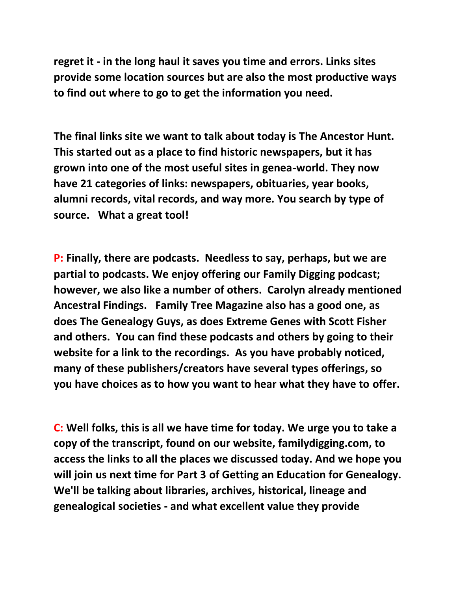**regret it - in the long haul it saves you time and errors. Links sites provide some location sources but are also the most productive ways to find out where to go to get the information you need.**

**The final links site we want to talk about today is The Ancestor Hunt. This started out as a place to find historic newspapers, but it has grown into one of the most useful sites in genea-world. They now have 21 categories of links: newspapers, obituaries, year books, alumni records, vital records, and way more. You search by type of source. What a great tool!** 

**P: Finally, there are podcasts. Needless to say, perhaps, but we are partial to podcasts. We enjoy offering our Family Digging podcast; however, we also like a number of others. Carolyn already mentioned Ancestral Findings. Family Tree Magazine also has a good one, as does The Genealogy Guys, as does Extreme Genes with Scott Fisher and others. You can find these podcasts and others by going to their website for a link to the recordings. As you have probably noticed, many of these publishers/creators have several types offerings, so you have choices as to how you want to hear what they have to offer.** 

**C: Well folks, this is all we have time for today. We urge you to take a copy of the transcript, found on our website, familydigging.com, to access the links to all the places we discussed today. And we hope you will join us next time for Part 3 of Getting an Education for Genealogy. We'll be talking about libraries, archives, historical, lineage and genealogical societies - and what excellent value they provide**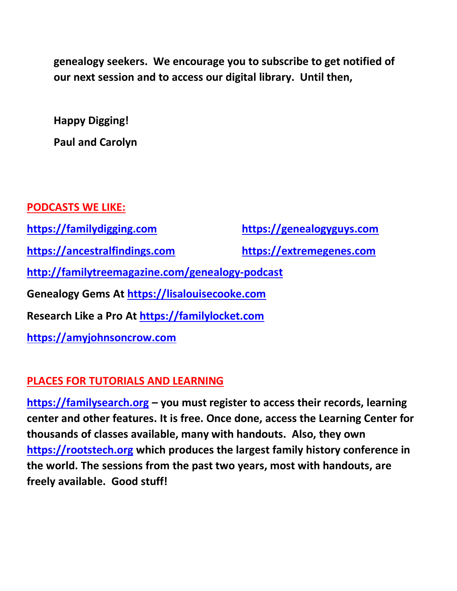**genealogy seekers. We encourage you to subscribe to get notified of our next session and to access our digital library. Until then,**

**Happy Digging! Paul and Carolyn**

## **PODCASTS WE LIKE: [https://familydigging.com](https://familydigging.com/) [https://genealogyguys.com](https://genealogyguys.com/) [https://ancestralfindings.com](https://ancestralfindings.com/) [https://extremegenes.com](https://extremegenes.com/) <http://familytreemagazine.com/genealogy-podcast> Genealogy Gems At [https://lisalouisecooke.com](https://lisalouisecooke.com/) Research Like a Pro At [https://familylocket.com](https://familylocket.com/) [https://amyjohnsoncrow.com](https://amyjohnsoncrow.com/)**

## **PLACES FOR TUTORIALS AND LEARNING**

**[https://familysearch.org](https://familysearch.org/) – you must register to access their records, learning center and other features. It is free. Once done, access the Learning Center for thousands of classes available, many with handouts. Also, they own [https://rootstech.org](https://rootstech.org/) which produces the largest family history conference in the world. The sessions from the past two years, most with handouts, are freely available. Good stuff!**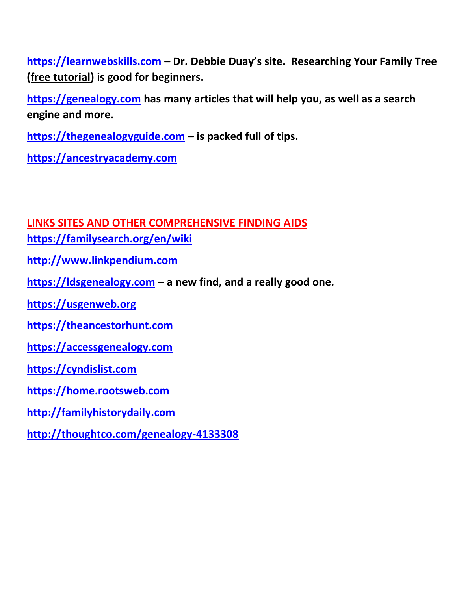**[https://learnwebskills.com](https://learnwebskills.com/) – Dr. Debbie Duay's site. Researching Your Family Tree (free tutorial) is good for beginners.**

**[https://genealogy.com](https://genealogy.com/) has many articles that will help you, as well as a search engine and more.**

**[https://thegenealogyguide.com](https://thegenealogyguide.com/) – is packed full of tips.**

**[https://ancestryacademy.com](https://www.ancestryacademy.com/browse)**

**LINKS SITES AND OTHER COMPREHENSIVE FINDING AIDS**

**<https://familysearch.org/en/wiki>**

**[http://www.linkpendium.com](http://www.linkpendium.com/)**

**[https://ldsgenealogy.com](https://ldsgenealogy.com/) – a new find, and a really good one.**

**[https://usgenweb.org](https://usgenweb.org/)**

**[https://theancestorhunt.com](https://theancestorhunt.com/)**

**[https://accessgenealogy.com](https://accessgenealogy.com/)**

**[https://cyndislist.com](https://cyndislist.com/)**

**[https://home.rootsweb.com](https://home.rootsweb.com/)**

**[http://familyhistorydaily.com](http://familyhistorydaily.com/)**

**<http://thoughtco.com/genealogy-4133308>**